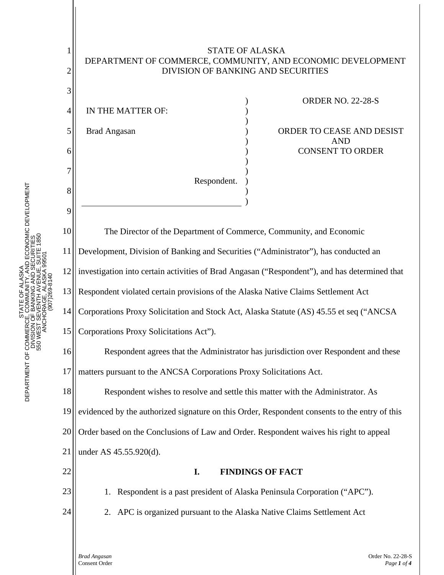

F ALASKA<br>JNITY, AND ECONOMIC DEVELOPMENT<br>VG AND SECURITIES<br>ALASKAE, 950JTE 1850<br>ALASKAE, 950JTE DEPARTMENT OF COMMERCE, COMMUNITY, AND ECONOMIC DEVELOPMENT DEPARTMENT OF COMMERCE, COMMUNITY, AND ECONOMIC DEVELOPMENT 550 WEST SEVENTH AVENUE, SUITE 1850 DIVISION OF BANKING AND SECURITIES 550 WEST SEVENTH AVENUE, SUITE 1850 DIVISION OF BANKING AND SECURITI ANCHORAGE, ALASKA 99501 ANCHORAGE, ALASKA 995 STATE OF ALASKA PHONE: (907) 269-8140 STATE OF ALASKA (907)269-8140 STATE OF<br>DEPARTMENT OF COMMERCE, COMMU<br>DIVISION OF BANKIN<br>S50 WEST SEVENTH /<br>S50 WEST SEVENTH /<br>ANCHORAGE, /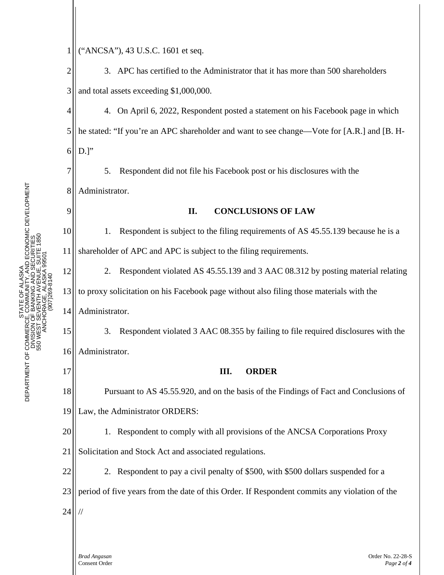2 3 4 5 6 7 8 9 10 11 12 13 14 15 16 17 18 19 20 21 22 23 24 3. APC has certified to the Administrator that it has more than 500 shareholders and total assets exceeding \$1,000,000. 4. On April 6, 2022, Respondent posted a statement on his Facebook page in which he stated: "If you're an APC shareholder and want to see change—Vote for [A.R.] and [B. H- $D$ .]" 5. Respondent did not file his Facebook post or his disclosures with the Administrator. **II. CONCLUSIONS OF LAW** 1. Respondent is subject to the filing requirements of AS 45.55.139 because he is a shareholder of APC and APC is subject to the filing requirements. 2. Respondent violated AS 45.55.139 and 3 AAC 08.312 by posting material relating to proxy solicitation on his Facebook page without also filing those materials with the Administrator. 3. Respondent violated 3 AAC 08.355 by failing to file required disclosures with the Administrator. **III. ORDER** Pursuant to AS 45.55.920, and on the basis of the Findings of Fact and Conclusions of Law, the Administrator ORDERS: 1. Respondent to comply with all provisions of the ANCSA Corporations Proxy Solicitation and Stock Act and associated regulations. 2. Respondent to pay a civil penalty of \$500, with \$500 dollars suspended for a period of five years from the date of this Order. If Respondent commits any violation of the //

1

("ANCSA"), 43 U.S.C. 1601 et seq.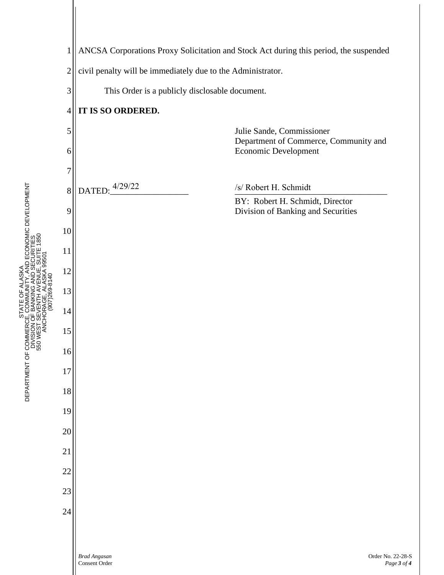

DEPARTMENT OF COMMERCE, COMMUNITY, AND ECONOMIC DEVELOPMENT<br>DEPARTMENT OF DIVISION OF BANKING AND SECURITIES<br>550 WEST SEVENTH AVENUE, SUITE 1850<br>550 WEST SEVENTH AVENUE, SUITE 1850<br>ANCHORO-269-8140 DEPARTMENT OF COMMERCE, COMMUNITY, AND ECONOMIC DEVELOPMENT DEPARTMENT OF COMMERCE, COMMUNITY, AND ECONOMIC DEVELOPMENT 550 WEST SEVENTH AVENUE, SUITE 1850 DIVISION OF BANKING AND SECURITIES 550 WEST SEVENTH AVENUE, SUITE 1850 DIVISION OF BANKING AND SECURITI ANCHORAGE, ALASKA 99501 ANCHORAGE, ALASKA 995 STATE OF ALASKA PHONE: (907) 269-8140 STATE OF ALASKA (907)269-8140